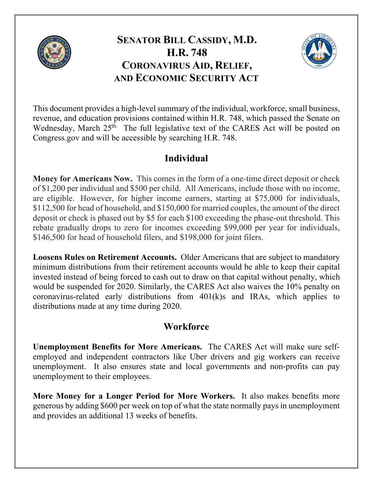

# **SENATOR BILL CASSIDY, M.D. H.R. 748 CORONAVIRUS AID, RELIEF, AND ECONOMIC SECURITY ACT**



This document provides a high-level summary of the individual, workforce, small business, revenue, and education provisions contained within H.R. 748, which passed the Senate on Wednesday, March 25<sup>th.</sup> The full legislative text of the CARES Act will be posted on Congress.gov and will be accessible by searching H.R. 748.

# **Individual**

**Money for Americans Now.** This comes in the form of a one-time direct deposit or check of \$1,200 per individual and \$500 per child. All Americans, include those with no income, are eligible. However, for higher income earners, starting at \$75,000 for individuals, \$112,500 for head of household, and \$150,000 for married couples, the amount of the direct deposit or check is phased out by \$5 for each \$100 exceeding the phase-out threshold. This rebate gradually drops to zero for incomes exceeding \$99,000 per year for individuals, \$146,500 for head of household filers, and \$198,000 for joint filers.

**Loosens Rules on Retirement Accounts.** Older Americans that are subject to mandatory minimum distributions from their retirement accounts would be able to keep their capital invested instead of being forced to cash out to draw on that capital without penalty, which would be suspended for 2020. Similarly, the CARES Act also waives the 10% penalty on coronavirus-related early distributions from 401(k)s and IRAs, which applies to distributions made at any time during 2020.

## **Workforce**

**Unemployment Benefits for More Americans.** The CARES Act will make sure selfemployed and independent contractors like Uber drivers and gig workers can receive unemployment. It also ensures state and local governments and non-profits can pay unemployment to their employees.

**More Money for a Longer Period for More Workers.** It also makes benefits more generous by adding \$600 per week on top of what the state normally pays in unemployment and provides an additional 13 weeks of benefits.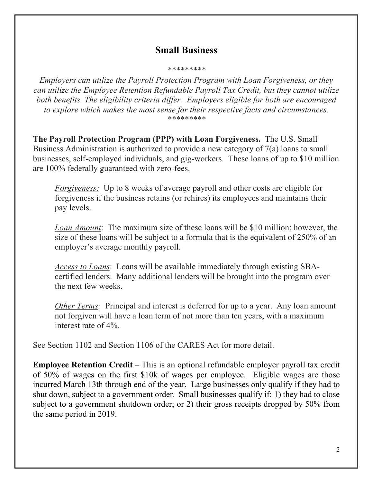#### **Small Business**

#### *\*\*\*\*\*\*\*\*\**

*Employers can utilize the Payroll Protection Program with Loan Forgiveness, or they can utilize the Employee Retention Refundable Payroll Tax Credit, but they cannot utilize both benefits. The eligibility criteria differ. Employers eligible for both are encouraged to explore which makes the most sense for their respective facts and circumstances. \*\*\*\*\*\*\*\*\**

**The Payroll Protection Program (PPP) with Loan Forgiveness.** The U.S. Small Business Administration is authorized to provide a new category of 7(a) loans to small businesses, self-employed individuals, and gig-workers. These loans of up to \$10 million are 100% federally guaranteed with zero-fees.

*Forgiveness:* Up to 8 weeks of average payroll and other costs are eligible for forgiveness if the business retains (or rehires) its employees and maintains their pay levels.

*Loan Amount*: The maximum size of these loans will be \$10 million; however, the size of these loans will be subject to a formula that is the equivalent of 250% of an employer's average monthly payroll.

*Access to Loans*: Loans will be available immediately through existing SBAcertified lenders. Many additional lenders will be brought into the program over the next few weeks.

*Other Terms:* Principal and interest is deferred for up to a year. Any loan amount not forgiven will have a loan term of not more than ten years, with a maximum interest rate of 4%.

See Section 1102 and Section 1106 of the CARES Act for more detail.

**Employee Retention Credit** – This is an optional refundable employer payroll tax credit of 50% of wages on the first \$10k of wages per employee. Eligible wages are those incurred March 13th through end of the year. Large businesses only qualify if they had to shut down, subject to a government order. Small businesses qualify if: 1) they had to close subject to a government shutdown order; or 2) their gross receipts dropped by 50% from the same period in 2019.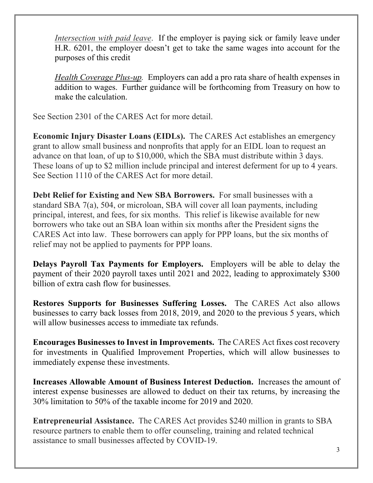*Intersection with paid leave*. If the employer is paying sick or family leave under H.R. 6201, the employer doesn't get to take the same wages into account for the purposes of this credit

*Health Coverage Plus-up.* Employers can add a pro rata share of health expenses in addition to wages. Further guidance will be forthcoming from Treasury on how to make the calculation.

See Section 2301 of the CARES Act for more detail.

**Economic Injury Disaster Loans (EIDLs).** The CARES Act establishes an emergency grant to allow small business and nonprofits that apply for an EIDL loan to request an advance on that loan, of up to \$10,000, which the SBA must distribute within 3 days. These loans of up to \$2 million include principal and interest deferment for up to 4 years. See Section 1110 of the CARES Act for more detail.

**Debt Relief for Existing and New SBA Borrowers.** For small businesses with a standard SBA 7(a), 504, or microloan, SBA will cover all loan payments, including principal, interest, and fees, for six months. This relief is likewise available for new borrowers who take out an SBA loan within six months after the President signs the CARES Act into law. These borrowers can apply for PPP loans, but the six months of relief may not be applied to payments for PPP loans.

**Delays Payroll Tax Payments for Employers.** Employers will be able to delay the payment of their 2020 payroll taxes until 2021 and 2022, leading to approximately \$300 billion of extra cash flow for businesses.

**Restores Supports for Businesses Suffering Losses.** The CARES Act also allows businesses to carry back losses from 2018, 2019, and 2020 to the previous 5 years, which will allow businesses access to immediate tax refunds.

**Encourages Businesses to Invest in Improvements.** The CARES Act fixes cost recovery for investments in Qualified Improvement Properties, which will allow businesses to immediately expense these investments.

**Increases Allowable Amount of Business Interest Deduction.** Increases the amount of interest expense businesses are allowed to deduct on their tax returns, by increasing the 30% limitation to 50% of the taxable income for 2019 and 2020.

**Entrepreneurial Assistance.** The CARES Act provides \$240 million in grants to SBA resource partners to enable them to offer counseling, training and related technical assistance to small businesses affected by COVID-19.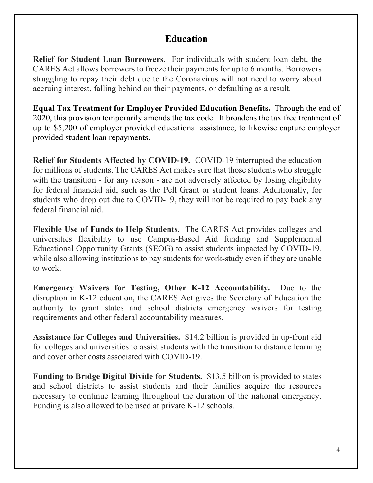### **Education**

**Relief for Student Loan Borrowers.** For individuals with student loan debt, the CARES Act allows borrowers to freeze their payments for up to 6 months. Borrowers struggling to repay their debt due to the Coronavirus will not need to worry about accruing interest, falling behind on their payments, or defaulting as a result.

**Equal Tax Treatment for Employer Provided Education Benefits.** Through the end of 2020, this provision temporarily amends the tax code. It broadens the tax free treatment of up to \$5,200 of employer provided educational assistance, to likewise capture employer provided student loan repayments.

**Relief for Students Affected by COVID-19.** COVID-19 interrupted the education for millions of students. The CARES Act makes sure that those students who struggle with the transition - for any reason - are not adversely affected by losing eligibility for federal financial aid, such as the Pell Grant or student loans. Additionally, for students who drop out due to COVID-19, they will not be required to pay back any federal financial aid.

**Flexible Use of Funds to Help Students.** The CARES Act provides colleges and universities flexibility to use Campus-Based Aid funding and Supplemental Educational Opportunity Grants (SEOG) to assist students impacted by COVID-19, while also allowing institutions to pay students for work-study even if they are unable to work.

**Emergency Waivers for Testing, Other K-12 Accountability.** Due to the disruption in K-12 education, the CARES Act gives the Secretary of Education the authority to grant states and school districts emergency waivers for testing requirements and other federal accountability measures.

**Assistance for Colleges and Universities.** \$14.2 billion is provided in up-front aid for colleges and universities to assist students with the transition to distance learning and cover other costs associated with COVID-19.

**Funding to Bridge Digital Divide for Students.** \$13.5 billion is provided to states and school districts to assist students and their families acquire the resources necessary to continue learning throughout the duration of the national emergency. Funding is also allowed to be used at private K-12 schools.